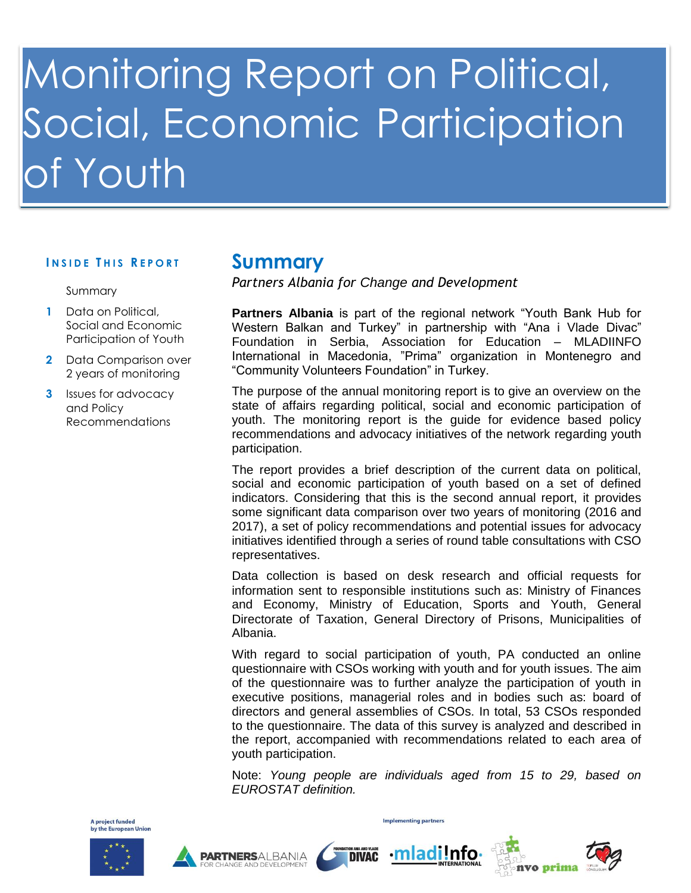# Monitoring Report on Political, Social, Economic Participation Youth

## **<sup>I</sup> N S I D E <sup>T</sup> H I S <sup>R</sup> E P O R T Summary**

### Summary

- **1** Data on Political, Social and Economic Participation of Youth
- **2** Data Comparison over 2 years of monitoring
- **3** Issues for advocacy and Policy Recommendations

*Partners Albania for Change and Development*

**Partners Albania** is part of the regional network "Youth Bank Hub for Western Balkan and Turkey" in partnership with "Ana i Vlade Divac" Foundation in Serbia, Association for Education – MLADIINFO International in Macedonia, "Prima" organization in Montenegro and "Community Volunteers Foundation" in Turkey.

The purpose of the annual monitoring report is to give an overview on the state of affairs regarding political, social and economic participation of youth. The monitoring report is the guide for evidence based policy recommendations and advocacy initiatives of the network regarding youth participation.

The report provides a brief description of the current data on political, social and economic participation of youth based on a set of defined indicators. Considering that this is the second annual report, it provides some significant data comparison over two years of monitoring (2016 and 2017), a set of policy recommendations and potential issues for advocacy initiatives identified through a series of round table consultations with CSO representatives.

Data collection is based on desk research and official requests for information sent to responsible institutions such as: Ministry of Finances and Economy, Ministry of Education, Sports and Youth, General Directorate of Taxation, General Directory of Prisons, Municipalities of Albania.

With regard to social participation of youth, PA conducted an online questionnaire with CSOs working with youth and for youth issues. The aim of the questionnaire was to further analyze the participation of youth in executive positions, managerial roles and in bodies such as: board of directors and general assemblies of CSOs. In total, 53 CSOs responded to the questionnaire. The data of this survey is analyzed and described in the report, accompanied with recommendations related to each area of youth participation.

Note: *Young people are individuals aged from 15 to 29, based on EUROSTAT definition.* 









**Implementing partners** 

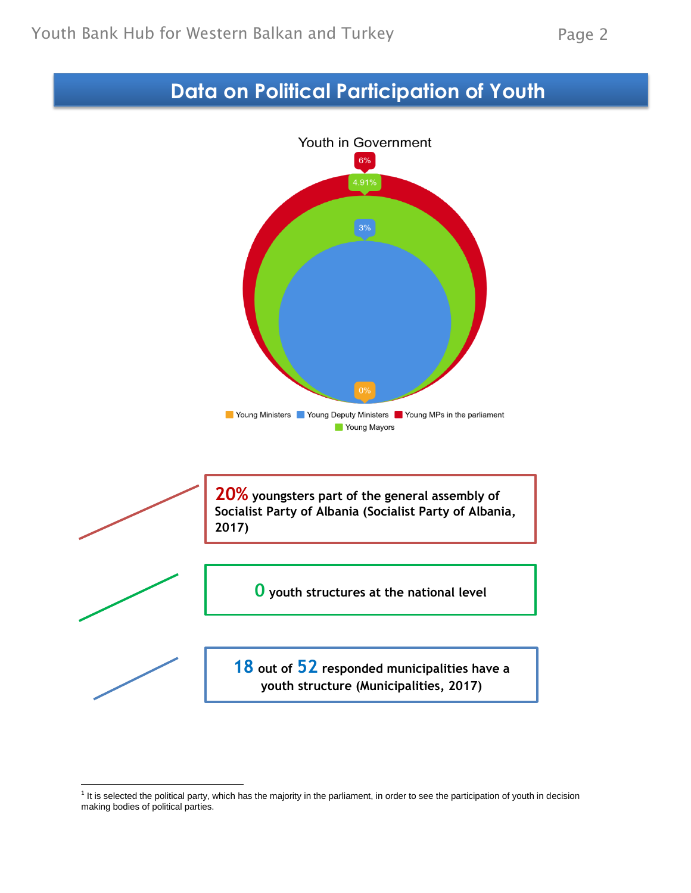## **Data on Political Participation of Youth**



l

<sup>&</sup>lt;sup>1</sup> It is selected the political party, which has the majority in the parliament, in order to see the participation of youth in decision making bodies of political parties.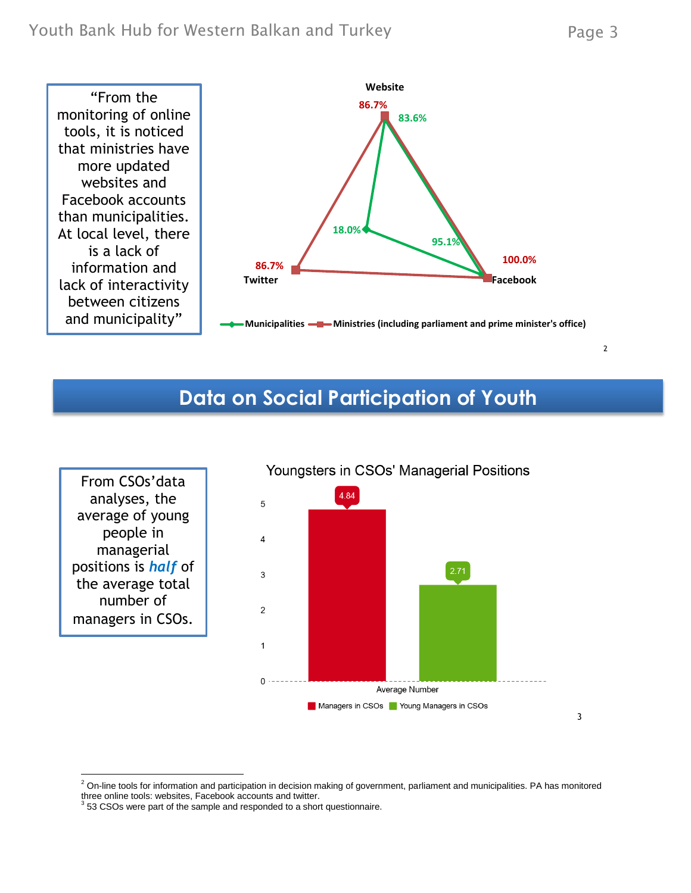2

3



## **Data on Social Participation of Youth**

From CSOs'data analyses, the average of young people in managerial positions is *half* of the average total number of managers in CSOs.



 $2$  On-line tools for information and participation in decision making of government, parliament and municipalities. PA has monitored three online tools: websites, Facebook accounts and twitter.

 $3$  53 CSOs were part of the sample and responded to a short questionnaire.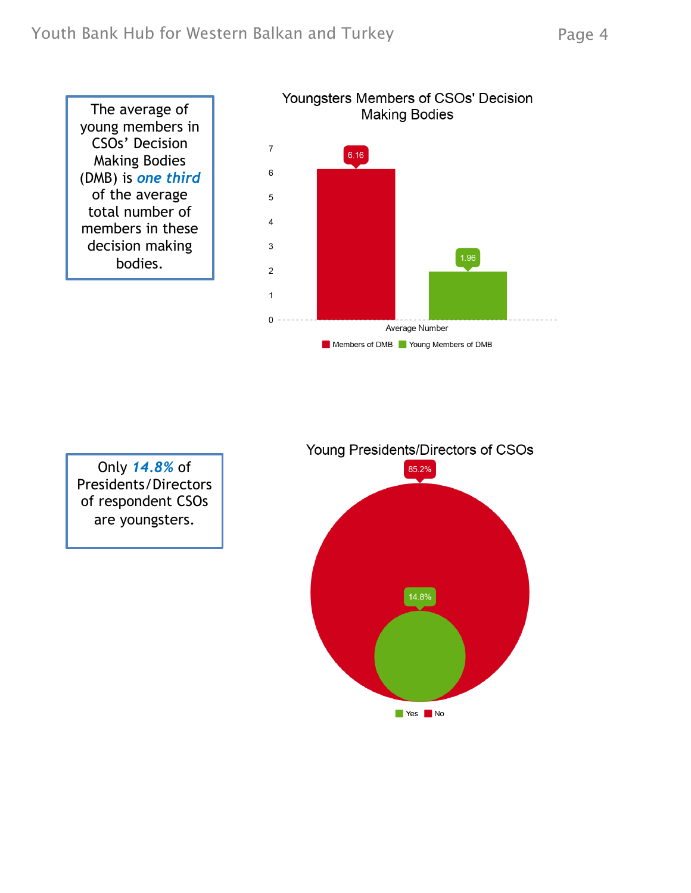The average of young members in CSOs' Decision Making Bodies (DMB) is *one third* of the average total number of members in these decision making bodies.



Only *14.8%* of Presidents/Directors of respondent CSOs are youngsters.

Young Presidents/Directors of CSOs

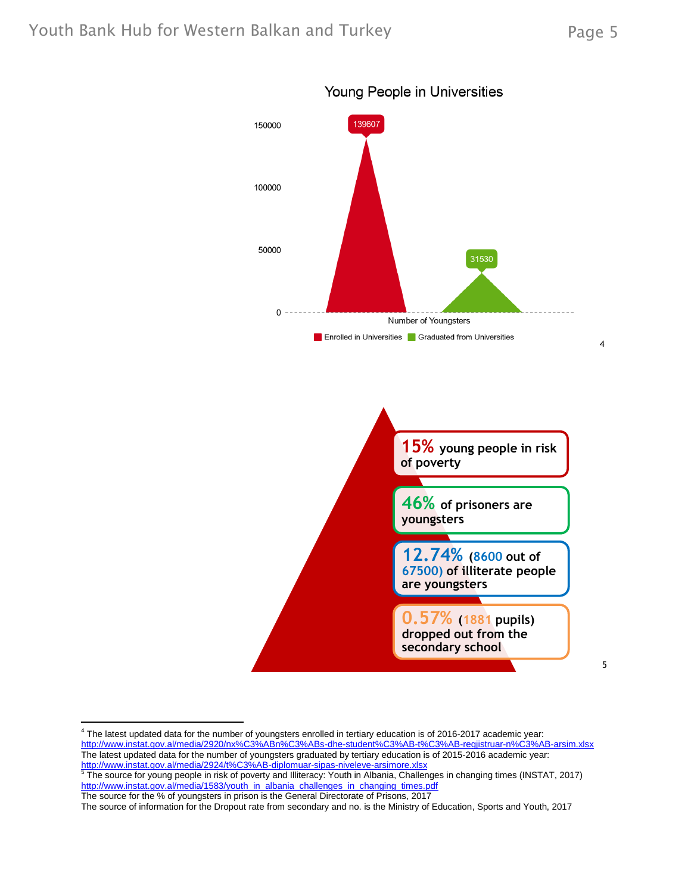5



**secondary school**

Young People in Universities

 4 The latest updated data for the number of youngsters enrolled in tertiary education is of 2016-2017 academic year: <http://www.instat.gov.al/media/2920/nx%C3%ABn%C3%ABs-dhe-student%C3%AB-t%C3%AB-regjistruar-n%C3%AB-arsim.xlsx> The latest updated data for the number of youngsters graduated by tertiary education is of 2015-2016 academic year: <u><http://www.instat.gov.al/media/2924/t%C3%AB-diplomuar-sipas-niveleve-arsimore.xlsx></u><br><sup>5</sup> The source for young people in risk of poverty and Illiteracy: Youth in Albania, Challenges in changing times (INSTAT, 2017)

[http://www.instat.gov.al/media/1583/youth\\_in\\_albania\\_challenges\\_in\\_changing\\_times.pdf](http://www.instat.gov.al/media/1583/youth_in_albania_challenges_in_changing_times.pdf) The source for the % of youngsters in prison is the General Directorate of Prisons, 2017

The source of information for the Dropout rate from secondary and no. is the Ministry of Education, Sports and Youth, 2017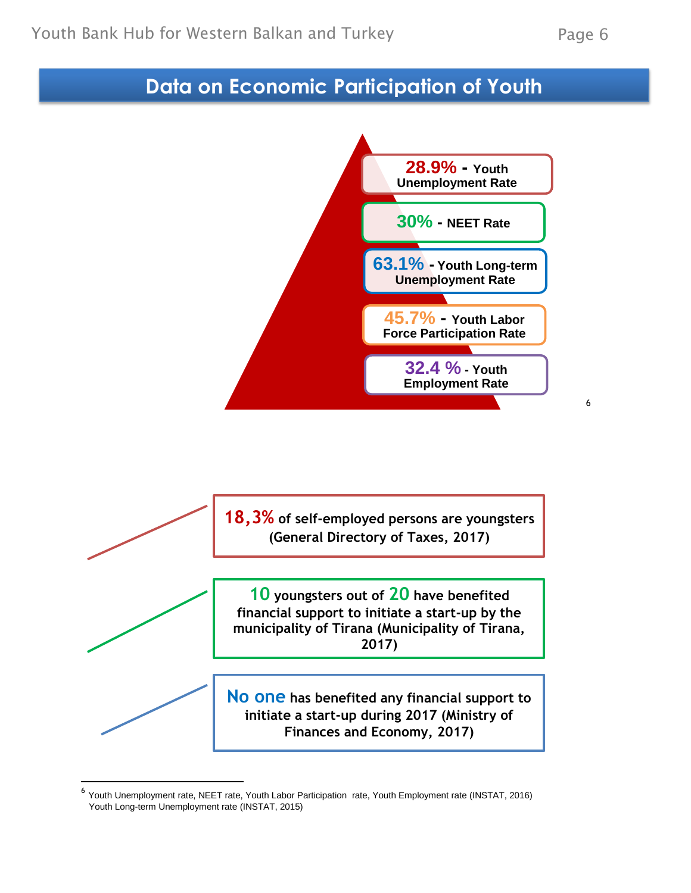6

## **Data on Social Participation of Youth Data on Economic Participation of Youth**





<sup>&</sup>lt;sup>6</sup> Youth Unemployment rate, NEET rate, Youth Labor Participation rate, Youth Employment rate (INSTAT, 2016) Youth Long-term Unemployment rate (INSTAT, 2015)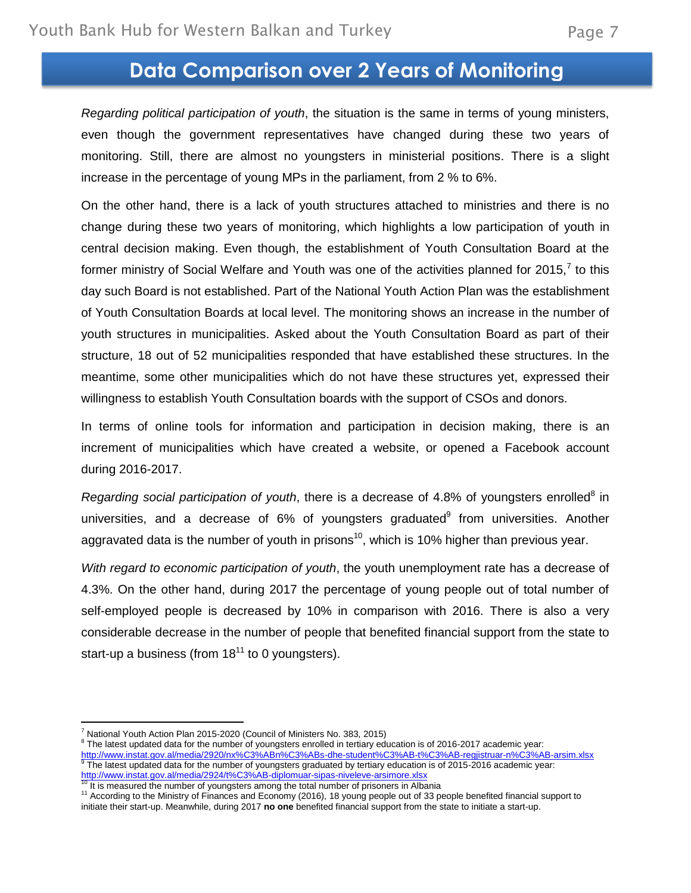## **Data Comparison over 2 Years of Monitoring**

*Regarding political participation of youth*, the situation is the same in terms of young ministers, even though the government representatives have changed during these two years of monitoring. Still, there are almost no youngsters in ministerial positions. There is a slight increase in the percentage of young MPs in the parliament, from 2 % to 6%.

On the other hand, there is a lack of youth structures attached to ministries and there is no change during these two years of monitoring, which highlights a low participation of youth in central decision making. Even though, the establishment of Youth Consultation Board at the former ministry of Social Welfare and Youth was one of the activities planned for 2015,<sup>7</sup> to this day such Board is not established. Part of the National Youth Action Plan was the establishment of Youth Consultation Boards at local level. The monitoring shows an increase in the number of youth structures in municipalities. Asked about the Youth Consultation Board as part of their structure, 18 out of 52 municipalities responded that have established these structures. In the meantime, some other municipalities which do not have these structures yet, expressed their willingness to establish Youth Consultation boards with the support of CSOs and donors.

In terms of online tools for information and participation in decision making, there is an increment of municipalities which have created a website, or opened a Facebook account during 2016-2017.

Regarding social participation of youth, there is a decrease of 4.8% of youngsters enrolled<sup>8</sup> in universities, and a decrease of  $6\%$  of youngsters graduated $9$  from universities. Another aggravated data is the number of youth in prisons<sup>10</sup>, which is 10% higher than previous year.

*With regard to economic participation of youth*, the youth unemployment rate has a decrease of 4.3%. On the other hand, during 2017 the percentage of young people out of total number of self-employed people is decreased by 10% in comparison with 2016. There is also a very considerable decrease in the number of people that benefited financial support from the state to start-up a business (from  $18^{11}$  to 0 youngsters).

l

<sup>8</sup> The latest updated data for the number of youngsters enrolled in tertiary education is of 2016-2017 academic year: <http://www.instat.gov.al/media/2920/nx%C3%ABn%C3%ABs-dhe-student%C3%AB-t%C3%AB-regjistruar-n%C3%AB-arsim.xlsx> 9 The latest updated data for the number of youngsters graduated by tertiary education is of 2015-2016 academic year:

<sup>&</sup>lt;sup>7</sup> National Youth Action Plan 2015-2020 (Council of Ministers No. 383, 2015)

<http://www.instat.gov.al/media/2924/t%C3%AB-diplomuar-sipas-niveleve-arsimore.xlsx><br><sup>10</sup> It is measured the number of youngsters among the total number of prisoners in Albania

<sup>11</sup> According to the Ministry of Finances and Economy (2016), 18 young people out of 33 people benefited financial support to initiate their start-up. Meanwhile, during 2017 **no one** benefited financial support from the state to initiate a start-up.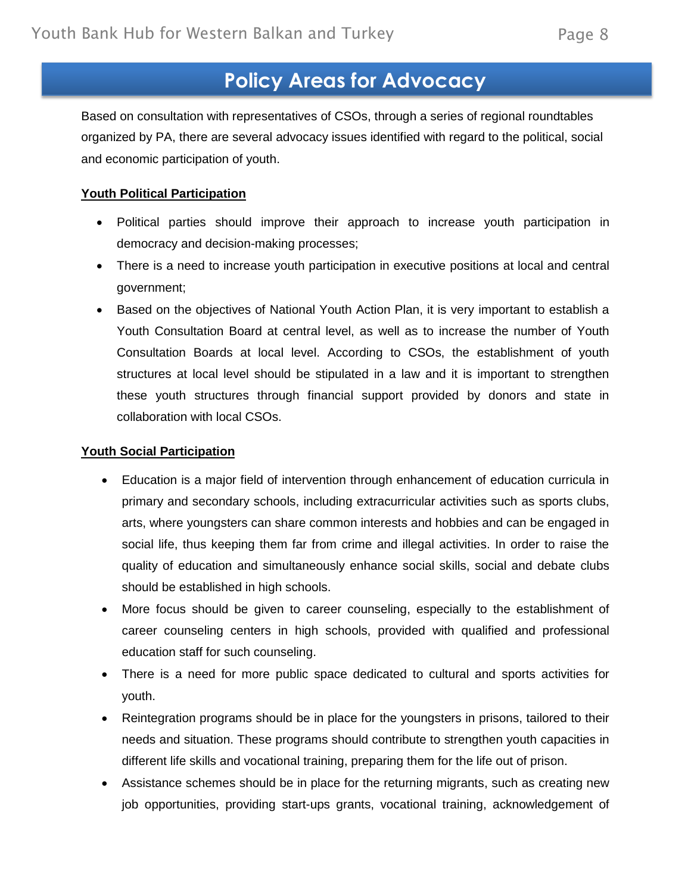## **Policy Areas for Advocacy**

Based on consultation with representatives of CSOs, through a series of regional roundtables organized by PA, there are several advocacy issues identified with regard to the political, social and economic participation of youth.

### **Youth Political Participation**

- Political parties should improve their approach to increase youth participation in democracy and decision-making processes;
- There is a need to increase youth participation in executive positions at local and central government;
- Based on the objectives of National Youth Action Plan, it is very important to establish a Youth Consultation Board at central level, as well as to increase the number of Youth Consultation Boards at local level. According to CSOs, the establishment of youth structures at local level should be stipulated in a law and it is important to strengthen these youth structures through financial support provided by donors and state in collaboration with local CSOs.

### **Youth Social Participation**

- Education is a major field of intervention through enhancement of education curricula in primary and secondary schools, including extracurricular activities such as sports clubs, arts, where youngsters can share common interests and hobbies and can be engaged in social life, thus keeping them far from crime and illegal activities. In order to raise the quality of education and simultaneously enhance social skills, social and debate clubs should be established in high schools.
- More focus should be given to career counseling, especially to the establishment of career counseling centers in high schools, provided with qualified and professional education staff for such counseling.
- There is a need for more public space dedicated to cultural and sports activities for youth.
- Reintegration programs should be in place for the youngsters in prisons, tailored to their needs and situation. These programs should contribute to strengthen youth capacities in different life skills and vocational training, preparing them for the life out of prison.
- Assistance schemes should be in place for the returning migrants, such as creating new job opportunities, providing start-ups grants, vocational training, acknowledgement of